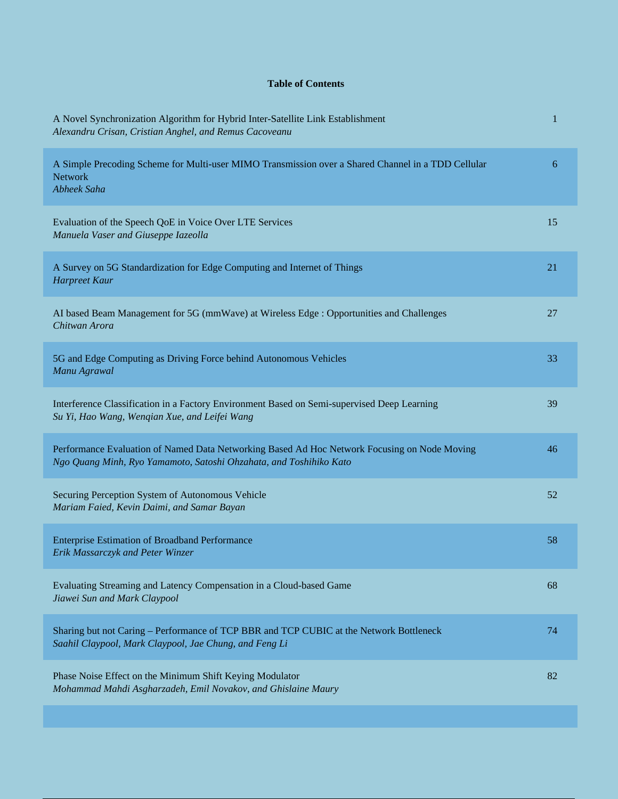## **Table of Contents**

| A Novel Synchronization Algorithm for Hybrid Inter-Satellite Link Establishment<br>Alexandru Crisan, Cristian Anghel, and Remus Cacoveanu                          | $\mathbf{1}$ |
|--------------------------------------------------------------------------------------------------------------------------------------------------------------------|--------------|
| A Simple Precoding Scheme for Multi-user MIMO Transmission over a Shared Channel in a TDD Cellular<br><b>Network</b><br>Abheek Saha                                | 6            |
| Evaluation of the Speech QoE in Voice Over LTE Services<br>Manuela Vaser and Giuseppe Iazeolla                                                                     | 15           |
| A Survey on 5G Standardization for Edge Computing and Internet of Things<br>Harpreet Kaur                                                                          | 21           |
| AI based Beam Management for 5G (mmWave) at Wireless Edge : Opportunities and Challenges<br>Chitwan Arora                                                          | 27           |
| 5G and Edge Computing as Driving Force behind Autonomous Vehicles<br>Manu Agrawal                                                                                  | 33           |
| Interference Classification in a Factory Environment Based on Semi-supervised Deep Learning<br>Su Yi, Hao Wang, Wenqian Xue, and Leifei Wang                       | 39           |
| Performance Evaluation of Named Data Networking Based Ad Hoc Network Focusing on Node Moving<br>Ngo Quang Minh, Ryo Yamamoto, Satoshi Ohzahata, and Toshihiko Kato | 46           |
| Securing Perception System of Autonomous Vehicle<br>Mariam Faied, Kevin Daimi, and Samar Bayan                                                                     | 52           |
| <b>Enterprise Estimation of Broadband Performance</b><br>Erik Massarczyk and Peter Winzer                                                                          | 58           |
| Evaluating Streaming and Latency Compensation in a Cloud-based Game<br>Jiawei Sun and Mark Claypool                                                                | 68           |
| Sharing but not Caring – Performance of TCP BBR and TCP CUBIC at the Network Bottleneck<br>Saahil Claypool, Mark Claypool, Jae Chung, and Feng Li                  | 74           |
| Phase Noise Effect on the Minimum Shift Keying Modulator<br>Mohammad Mahdi Asgharzadeh, Emil Novakov, and Ghislaine Maury                                          | 82           |